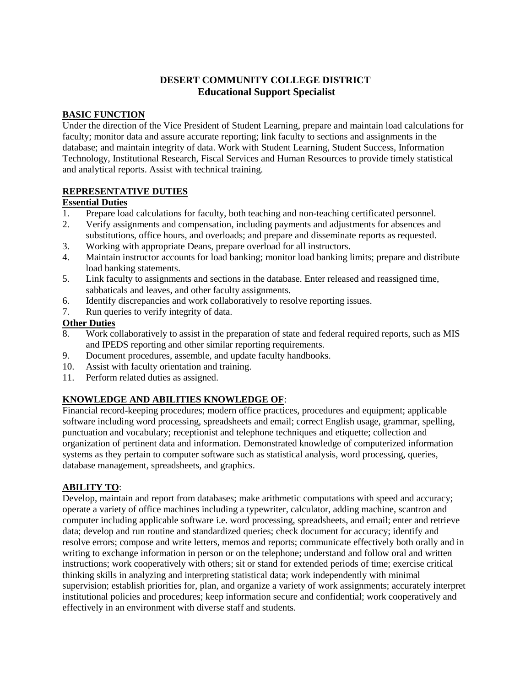## **DESERT COMMUNITY COLLEGE DISTRICT Educational Support Specialist**

#### **BASIC FUNCTION**

Under the direction of the Vice President of Student Learning, prepare and maintain load calculations for faculty; monitor data and assure accurate reporting; link faculty to sections and assignments in the database; and maintain integrity of data. Work with Student Learning, Student Success, Information Technology, Institutional Research, Fiscal Services and Human Resources to provide timely statistical and analytical reports. Assist with technical training.

#### **REPRESENTATIVE DUTIES**

#### **Essential Duties**

- 1. Prepare load calculations for faculty, both teaching and non-teaching certificated personnel.
- 2. Verify assignments and compensation, including payments and adjustments for absences and substitutions, office hours, and overloads; and prepare and disseminate reports as requested.
- 3. Working with appropriate Deans, prepare overload for all instructors.
- 4. Maintain instructor accounts for load banking; monitor load banking limits; prepare and distribute load banking statements.
- 5. Link faculty to assignments and sections in the database. Enter released and reassigned time, sabbaticals and leaves, and other faculty assignments.
- 6. Identify discrepancies and work collaboratively to resolve reporting issues.
- 7. Run queries to verify integrity of data.

#### **Other Duties**

- 8. Work collaboratively to assist in the preparation of state and federal required reports, such as MIS and IPEDS reporting and other similar reporting requirements.
- 9. Document procedures, assemble, and update faculty handbooks.
- 10. Assist with faculty orientation and training.
- 11. Perform related duties as assigned.

### **KNOWLEDGE AND ABILITIES KNOWLEDGE OF**:

Financial record-keeping procedures; modern office practices, procedures and equipment; applicable software including word processing, spreadsheets and email; correct English usage, grammar, spelling, punctuation and vocabulary; receptionist and telephone techniques and etiquette; collection and organization of pertinent data and information. Demonstrated knowledge of computerized information systems as they pertain to computer software such as statistical analysis, word processing, queries, database management, spreadsheets, and graphics.

### **ABILITY TO**:

Develop, maintain and report from databases; make arithmetic computations with speed and accuracy; operate a variety of office machines including a typewriter, calculator, adding machine, scantron and computer including applicable software i.e. word processing, spreadsheets, and email; enter and retrieve data; develop and run routine and standardized queries; check document for accuracy; identify and resolve errors; compose and write letters, memos and reports; communicate effectively both orally and in writing to exchange information in person or on the telephone; understand and follow oral and written instructions; work cooperatively with others; sit or stand for extended periods of time; exercise critical thinking skills in analyzing and interpreting statistical data; work independently with minimal supervision; establish priorities for, plan, and organize a variety of work assignments; accurately interpret institutional policies and procedures; keep information secure and confidential; work cooperatively and effectively in an environment with diverse staff and students.